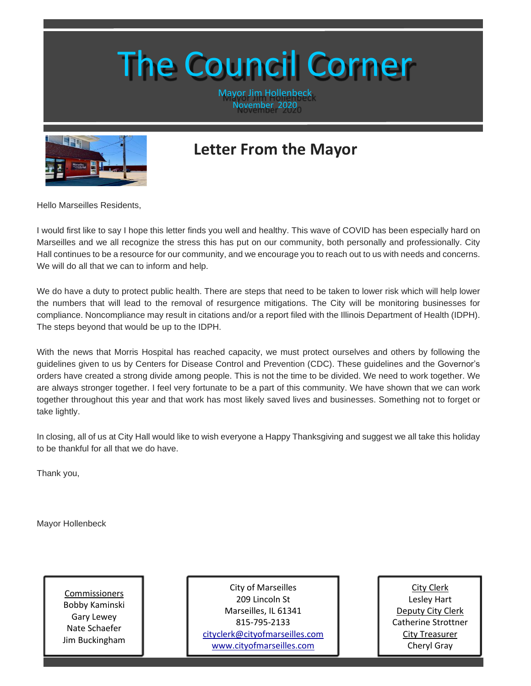## The Council Corner

Mayor Jim Hollenbeck November 2020



## **Letter From the Mayor**

Hello Marseilles Residents,

I would first like to say I hope this letter finds you well and healthy. This wave of COVID has been especially hard on Marseilles and we all recognize the stress this has put on our community, both personally and professionally. City Hall continues to be a resource for our community, and we encourage you to reach out to us with needs and concerns. We will do all that we can to inform and help.

We do have a duty to protect public health. There are steps that need to be taken to lower risk which will help lower the numbers that will lead to the removal of resurgence mitigations. The City will be monitoring businesses for compliance. Noncompliance may result in citations and/or a report filed with the Illinois Department of Health (IDPH). The steps beyond that would be up to the IDPH.

With the news that Morris Hospital has reached capacity, we must protect ourselves and others by following the guidelines given to us by Centers for Disease Control and Prevention (CDC). These guidelines and the Governor's orders have created a strong divide among people. This is not the time to be divided. We need to work together. We are always stronger together. I feel very fortunate to be a part of this community. We have shown that we can work together throughout this year and that work has most likely saved lives and businesses. Something not to forget or take lightly.

In closing, all of us at City Hall would like to wish everyone a Happy Thanksgiving and suggest we all take this holiday to be thankful for all that we do have.

Thank you,

Sincerely,

Mayor Hollenbeck

Commissioners Bobby Kaminski Gary Lewey Nate Schaefer Jim Buckingham

City of Marseilles 209 Lincoln St Marseilles, IL 61341 815-795-2133 [cityclerk@cityofmarseilles.com](mailto:cityclerk@cityofmarseilles.com) [www.cityofmarseilles.com](http://www.cityofmarseilles.com/)

City Clerk Lesley Hart Deputy City Clerk Catherine Strottner City Treasurer Cheryl Gray